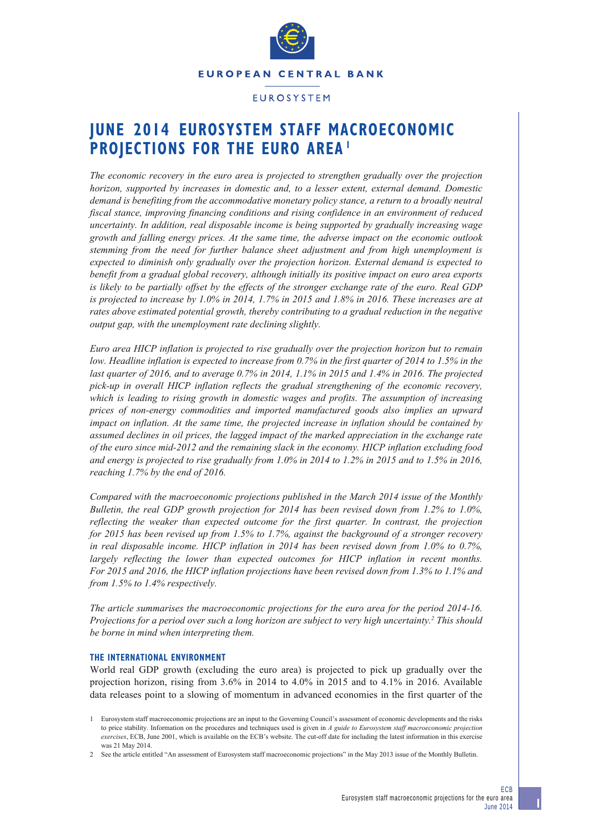

## **FUROSYSTEM**

# **JUNE 2014 EUROSYSTEM STAFF MACROECONOMIC PROJECTIONS FOR THE EURO AREA 1**

*The economic recovery in the euro area is projected to strengthen gradually over the projection horizon, supported by increases in domestic and, to a lesser extent, external demand. Domestic demand is benefiting from the accommodative monetary policy stance, a return to a broadly neutral fiscal stance, improving financing conditions and rising confidence in an environment of reduced uncertainty. In addition, real disposable income is being supported by gradually increasing wage growth and falling energy prices. At the same time, the adverse impact on the economic outlook stemming from the need for further balance sheet adjustment and from high unemployment is expected to diminish only gradually over the projection horizon. External demand is expected to benefit from a gradual global recovery, although initially its positive impact on euro area exports is likely to be partially offset by the effects of the stronger exchange rate of the euro. Real GDP is projected to increase by 1.0% in 2014, 1.7% in 2015 and 1.8% in 2016. These increases are at rates above estimated potential growth, thereby contributing to a gradual reduction in the negative output gap, with the unemployment rate declining slightly.*

*Euro area HICP inflation is projected to rise gradually over the projection horizon but to remain low. Headline inflation is expected to increase from 0.7% in the first quarter of 2014 to 1.5% in the last quarter of 2016, and to average 0.7% in 2014, 1.1% in 2015 and 1.4% in 2016. The projected pick-up in overall HICP inflation reflects the gradual strengthening of the economic recovery, which is leading to rising growth in domestic wages and profits. The assumption of increasing prices of non-energy commodities and imported manufactured goods also implies an upward impact on inflation. At the same time, the projected increase in inflation should be contained by assumed declines in oil prices, the lagged impact of the marked appreciation in the exchange rate of the euro since mid-2012 and the remaining slack in the economy. HICP inflation excluding food and energy is projected to rise gradually from 1.0% in 2014 to 1.2% in 2015 and to 1.5% in 2016, reaching 1.7% by the end of 2016.*

*Compared with the macroeconomic projections published in the March 2014 issue of the Monthly Bulletin, the real GDP growth projection for 2014 has been revised down from 1.2% to 1.0%, reflecting the weaker than expected outcome for the first quarter. In contrast, the projection for 2015 has been revised up from 1.5% to 1.7%, against the background of a stronger recovery in real disposable income. HICP inflation in 2014 has been revised down from 1.0% to 0.7%, largely reflecting the lower than expected outcomes for HICP inflation in recent months. For 2015 and 2016, the HICP inflation projections have been revised down from 1.3% to 1.1% and from 1.5% to 1.4% respectively.*

*The article summarises the macroeconomic projections for the euro area for the period 2014-16. Projections for a period over such a long horizon are subject to very high uncertainty.2 This should be borne in mind when interpreting them.*

### **THE INTERNATIONAL ENVIRONMENT**

World real GDP growth (excluding the euro area) is projected to pick up gradually over the projection horizon, rising from 3.6% in 2014 to 4.0% in 2015 and to 4.1% in 2016. Available data releases point to a slowing of momentum in advanced economies in the first quarter of the

<sup>1</sup> Eurosystem staff macroeconomic projections are an input to the Governing Council's assessment of economic developments and the risks to price stability. Information on the procedures and techniques used is given in *A guide to Eurosystem staff macroeconomic projection exercises*, ECB, June 2001, which is available on the ECB's website. The cut-off date for including the latest information in this exercise was 21 May 2014.

<sup>2</sup> See the article entitled "An assessment of Eurosystem staff macroeconomic projections" in the May 2013 issue of the Monthly Bulletin.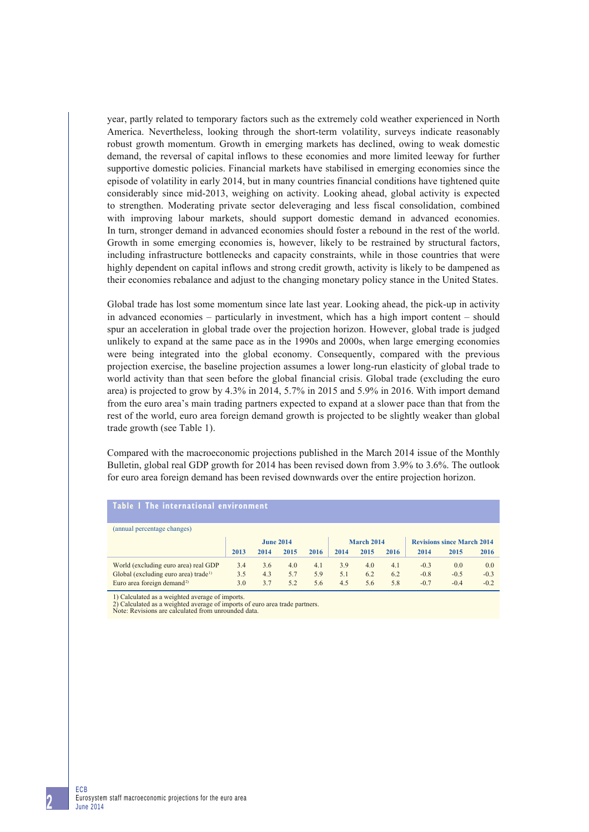year, partly related to temporary factors such as the extremely cold weather experienced in North America. Nevertheless, looking through the short-term volatility, surveys indicate reasonably robust growth momentum. Growth in emerging markets has declined, owing to weak domestic demand, the reversal of capital inflows to these economies and more limited leeway for further supportive domestic policies. Financial markets have stabilised in emerging economies since the episode of volatility in early 2014, but in many countries financial conditions have tightened quite considerably since mid-2013, weighing on activity. Looking ahead, global activity is expected to strengthen. Moderating private sector deleveraging and less fiscal consolidation, combined with improving labour markets, should support domestic demand in advanced economies. In turn, stronger demand in advanced economies should foster a rebound in the rest of the world. Growth in some emerging economies is, however, likely to be restrained by structural factors, including infrastructure bottlenecks and capacity constraints, while in those countries that were highly dependent on capital inflows and strong credit growth, activity is likely to be dampened as their economies rebalance and adjust to the changing monetary policy stance in the United States.

Global trade has lost some momentum since late last year. Looking ahead, the pick-up in activity in advanced economies – particularly in investment, which has a high import content – should spur an acceleration in global trade over the projection horizon. However, global trade is judged unlikely to expand at the same pace as in the 1990s and 2000s, when large emerging economies were being integrated into the global economy. Consequently, compared with the previous projection exercise, the baseline projection assumes a lower long-run elasticity of global trade to world activity than that seen before the global financial crisis. Global trade (excluding the euro area) is projected to grow by 4.3% in 2014, 5.7% in 2015 and 5.9% in 2016. With import demand from the euro area's main trading partners expected to expand at a slower pace than that from the rest of the world, euro area foreign demand growth is projected to be slightly weaker than global trade growth (see Table 1).

Compared with the macroeconomic projections published in the March 2014 issue of the Monthly Bulletin, global real GDP growth for 2014 has been revised down from 3.9% to 3.6%. The outlook for euro area foreign demand has been revised downwards over the entire projection horizon.

## **Table 1 The international environment**

| (annual percentage changes)                      |                  |      |      |            |      |      |                                   |        |        |        |
|--------------------------------------------------|------------------|------|------|------------|------|------|-----------------------------------|--------|--------|--------|
|                                                  | <b>June 2014</b> |      |      | March 2014 |      |      | <b>Revisions since March 2014</b> |        |        |        |
|                                                  | 2013             | 2014 | 2015 | 2016       | 2014 | 2015 | 2016                              | 2014   | 2015   | 2016   |
| World (excluding euro area) real GDP             | 3.4              | 3.6  | 4.0  | 4.1        | 3.9  | 4.0  | 4.1                               | $-0.3$ | 0.0    | 0.0    |
| Global (excluding euro area) trade <sup>1)</sup> | 3.5              | 4.3  | 5.7  | 5.9        | 5.1  | 6.2  | 6.2                               | $-0.8$ | $-0.5$ | $-0.3$ |
| Euro area foreign demand <sup>2)</sup>           | 3.0              | 3.7  | 5.2  | 5.6        | 4.5  | 5.6  | 5.8                               | $-0.7$ | $-0.4$ | $-0.2$ |

1) Calculated as a weighted average of imports.

2) Calculated as a weighted average of imports of euro area trade partners.

Note: Revisions are calculated from unrounded data.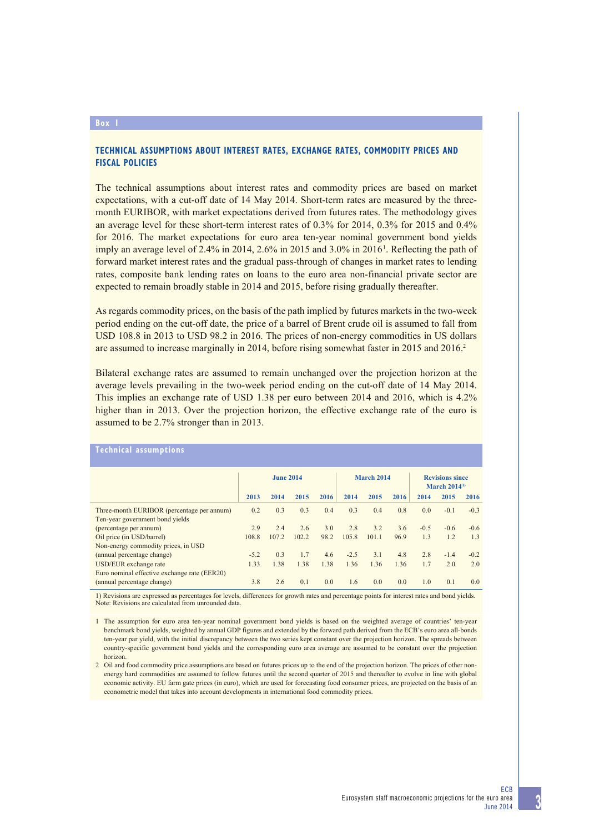#### **Box 1**

## **TECHNICAL ASSUMPTIONS ABOUT INTEREST RATES, EXCHANGE RATES, COMMODITY PRICES AND FISCAL POLICIES**

The technical assumptions about interest rates and commodity prices are based on market expectations, with a cut-off date of 14 May 2014. Short-term rates are measured by the threemonth EURIBOR, with market expectations derived from futures rates. The methodology gives an average level for these short-term interest rates of 0.3% for 2014, 0.3% for 2015 and 0.4% for 2016. The market expectations for euro area ten-year nominal government bond yields imply an average level of 2.4% in 2014, 2.6% in 2015 and 3.0% in 2016<sup>1</sup>. Reflecting the path of forward market interest rates and the gradual pass-through of changes in market rates to lending rates, composite bank lending rates on loans to the euro area non-financial private sector are expected to remain broadly stable in 2014 and 2015, before rising gradually thereafter.

As regards commodity prices, on the basis of the path implied by futures markets in the two-week period ending on the cut-off date, the price of a barrel of Brent crude oil is assumed to fall from USD 108.8 in 2013 to USD 98.2 in 2016. The prices of non-energy commodities in US dollars are assumed to increase marginally in 2014, before rising somewhat faster in 2015 and 2016.2

Bilateral exchange rates are assumed to remain unchanged over the projection horizon at the average levels prevailing in the two-week period ending on the cut-off date of 14 May 2014. This implies an exchange rate of USD 1.38 per euro between 2014 and 2016, which is 4.2% higher than in 2013. Over the projection horizon, the effective exchange rate of the euro is assumed to be 2.7% stronger than in 2013.

| <b>Technical assumptions</b>                 |                  |       |       |                   |        |       |                                         |        |        |        |
|----------------------------------------------|------------------|-------|-------|-------------------|--------|-------|-----------------------------------------|--------|--------|--------|
|                                              | <b>June 2014</b> |       |       | <b>March 2014</b> |        |       | <b>Revisions since</b><br>March $20141$ |        |        |        |
|                                              | 2013             | 2014  | 2015  | 2016              | 2014   | 2015  | 2016                                    | 2014   | 2015   | 2016   |
| Three-month EURIBOR (percentage per annum)   | 0.2              | 0.3   | 0.3   | 0.4               | 0.3    | 0.4   | 0.8                                     | 0.0    | $-0.1$ | $-0.3$ |
| Ten-year government bond yields              |                  |       |       |                   |        |       |                                         |        |        |        |
| (percentage per annum)                       | 2.9              | 2.4   | 2.6   | 3.0               | 2.8    | 3.2   | 3.6                                     | $-0.5$ | $-0.6$ | $-0.6$ |
| Oil price (in USD/barrel)                    | 108.8            | 107.2 | 102.2 | 98.2              | 105.8  | 101.1 | 96.9                                    | 1.3    | 1.2    | 1.3    |
| Non-energy commodity prices, in USD          |                  |       |       |                   |        |       |                                         |        |        |        |
| (annual percentage change)                   | $-5.2$           | 0.3   | 1.7   | 4.6               | $-2.5$ | 3.1   | 4.8                                     | 2.8    | $-1.4$ | $-0.2$ |
| USD/EUR exchange rate                        | 1.33             | 1.38  | 1.38  | 1.38              | 1.36   | 1.36  | 1.36                                    | 1.7    | 2.0    | 2.0    |
| Euro nominal effective exchange rate (EER20) |                  |       |       |                   |        |       |                                         |        |        |        |
| (annual percentage change)                   | 3.8              | 2.6   | 0.1   | 0.0               | 1.6    | 0.0   | 0.0                                     | 1.0    | 0.1    | 0.0    |

1) Revisions are expressed as percentages for levels, differences for growth rates and percentage points for interest rates and bond yields. Note: Revisions are calculated from unrounded data.

<sup>1</sup> The assumption for euro area ten-year nominal government bond yields is based on the weighted average of countries' ten-year benchmark bond yields, weighted by annual GDP figures and extended by the forward path derived from the ECB's euro area all-bonds ten-year par yield, with the initial discrepancy between the two series kept constant over the projection horizon. The spreads between country-specific government bond yields and the corresponding euro area average are assumed to be constant over the projection horizon.

<sup>2</sup> Oil and food commodity price assumptions are based on futures prices up to the end of the projection horizon. The prices of other nonenergy hard commodities are assumed to follow futures until the second quarter of 2015 and thereafter to evolve in line with global economic activity. EU farm gate prices (in euro), which are used for forecasting food consumer prices, are projected on the basis of an econometric model that takes into account developments in international food commodity prices.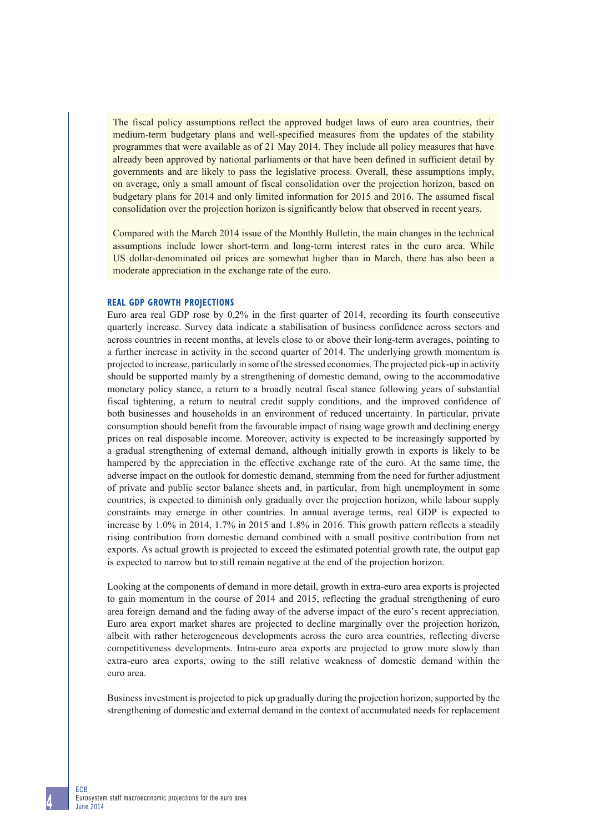The fiscal policy assumptions reflect the approved budget laws of euro area countries, their medium-term budgetary plans and well-specified measures from the updates of the stability programmes that were available as of 21 May 2014. They include all policy measures that have already been approved by national parliaments or that have been defined in sufficient detail by governments and are likely to pass the legislative process. Overall, these assumptions imply, on average, only a small amount of fiscal consolidation over the projection horizon, based on budgetary plans for 2014 and only limited information for 2015 and 2016. The assumed fiscal consolidation over the projection horizon is significantly below that observed in recent years.

Compared with the March 2014 issue of the Monthly Bulletin, the main changes in the technical assumptions include lower short-term and long-term interest rates in the euro area. While US dollar-denominated oil prices are somewhat higher than in March, there has also been a moderate appreciation in the exchange rate of the euro.

#### **REAL GDP GROWTH PROJECTIONS**

Euro area real GDP rose by 0.2% in the first quarter of 2014, recording its fourth consecutive quarterly increase. Survey data indicate a stabilisation of business confidence across sectors and across countries in recent months, at levels close to or above their long-term averages, pointing to a further increase in activity in the second quarter of 2014. The underlying growth momentum is projected to increase, particularly in some of the stressed economies. The projected pick-up in activity should be supported mainly by a strengthening of domestic demand, owing to the accommodative monetary policy stance, a return to a broadly neutral fiscal stance following years of substantial fiscal tightening, a return to neutral credit supply conditions, and the improved confidence of both businesses and households in an environment of reduced uncertainty. In particular, private consumption should benefit from the favourable impact of rising wage growth and declining energy prices on real disposable income. Moreover, activity is expected to be increasingly supported by a gradual strengthening of external demand, although initially growth in exports is likely to be hampered by the appreciation in the effective exchange rate of the euro. At the same time, the adverse impact on the outlook for domestic demand, stemming from the need for further adjustment of private and public sector balance sheets and, in particular, from high unemployment in some countries, is expected to diminish only gradually over the projection horizon, while labour supply constraints may emerge in other countries. In annual average terms, real GDP is expected to increase by 1.0% in 2014, 1.7% in 2015 and 1.8% in 2016. This growth pattern reflects a steadily rising contribution from domestic demand combined with a small positive contribution from net exports. As actual growth is projected to exceed the estimated potential growth rate, the output gap is expected to narrow but to still remain negative at the end of the projection horizon.

Looking at the components of demand in more detail, growth in extra-euro area exports is projected to gain momentum in the course of 2014 and 2015, reflecting the gradual strengthening of euro area foreign demand and the fading away of the adverse impact of the euro's recent appreciation. Euro area export market shares are projected to decline marginally over the projection horizon, albeit with rather heterogeneous developments across the euro area countries, reflecting diverse competitiveness developments. Intra-euro area exports are projected to grow more slowly than extra-euro area exports, owing to the still relative weakness of domestic demand within the euro area.

Business investment is projected to pick up gradually during the projection horizon, supported by the strengthening of domestic and external demand in the context of accumulated needs for replacement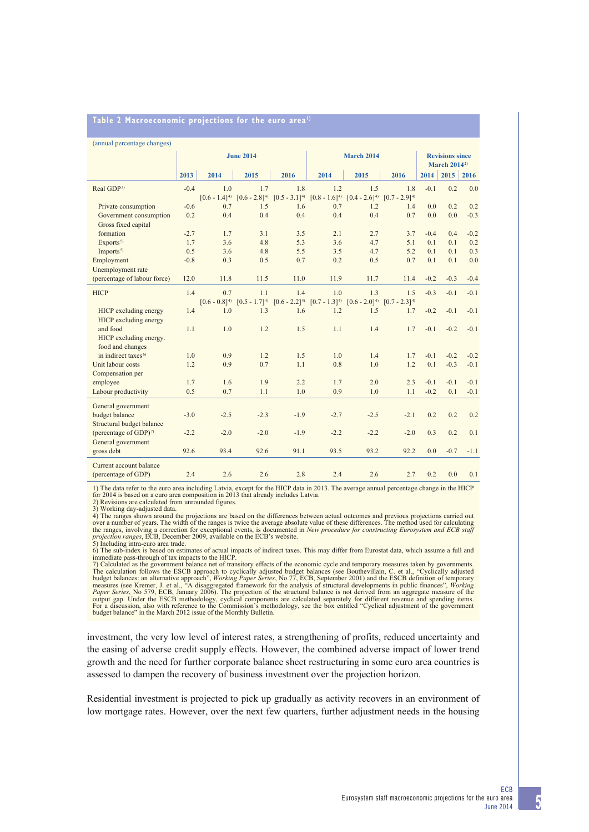| Table 2 Macroeconomic projections for the euro area <sup>1)</sup> |  |
|-------------------------------------------------------------------|--|
|                                                                   |  |

| (annual percentage changes)       |                  |                   |                   |                   |                                 |                                     |                   |        |             |        |
|-----------------------------------|------------------|-------------------|-------------------|-------------------|---------------------------------|-------------------------------------|-------------------|--------|-------------|--------|
|                                   | <b>June 2014</b> |                   |                   | <b>March 2014</b> | <b>Revisions since</b>          |                                     |                   |        |             |        |
|                                   |                  |                   |                   |                   | <b>March 2014</b> <sup>2)</sup> |                                     |                   |        |             |        |
|                                   | 2013             | 2014              | 2015              | 2016              | 2014                            | 2015                                | 2016              | 2014   | $2015$ 2016 |        |
| Real GDP <sup>3)</sup>            | $-0.4$           | 1 <sub>0</sub>    | 1.7               | 1.8               | 1.2                             | 1.5                                 | 1.8               | $-0.1$ | 0.2         | 0.0    |
|                                   |                  | $[0.6 - 1.4]^{4}$ | $[0.6 - 2.8]^{4}$ | $[0.5 - 3.1]^{4}$ | $[0.8 - 1.6]^{4}$               | $[0.4 - 2.6]^{4}$                   | $[0.7 - 2.9]^{4}$ |        |             |        |
| Private consumption               | $-0.6$           | 0.7               | 1.5               | 1.6               | 0.7                             | 1.2                                 | 1.4               | 0.0    | 0.2         | 0.2    |
| Government consumption            | 0.2              | 0.4               | 0.4               | 0.4               | 0.4                             | 0.4                                 | 0.7               | 0.0    | 0.0         | $-0.3$ |
| Gross fixed capital               |                  |                   |                   |                   |                                 |                                     |                   |        |             |        |
| formation                         | $-2.7$           | 1.7               | 3.1               | 3.5               | 2.1                             | 2.7                                 | 3.7               | $-0.4$ | 0.4         | $-0.2$ |
| Exports <sup>5)</sup>             | 1.7              | 3.6               | 4.8               | 5.3               | 3.6                             | 4.7                                 | 5.1               | 0.1    | 0.1         | 0.2    |
| Imports <sup>5)</sup>             | 0.5              | 3.6               | 4.8               | 5.5               | 3.5                             | 4.7                                 | 5.2               | 0.1    | 0.1         | 0.3    |
| Employment                        | $-0.8$           | 0.3               | 0.5               | 0.7               | 0.2                             | 0.5                                 | 0.7               | 0.1    | 0.1         | 0.0    |
| Unemployment rate                 |                  |                   |                   |                   |                                 |                                     |                   |        |             |        |
| (percentage of labour force)      | 12.0             | 11.8              | 11.5              | 11.0              | 11.9                            | 11.7                                | 11.4              | $-0.2$ | $-0.3$      | $-0.4$ |
| <b>HICP</b>                       | 1.4              | 0.7               | 1.1               | 1.4               | 1.0                             | 1 <sub>3</sub>                      | 1.5               | $-0.3$ | $-0.1$      | $-0.1$ |
|                                   |                  | $[0.6 - 0.8]^{4}$ | $[0.5 - 1.7]^{4}$ | $[0.6 - 2.2]^{4}$ |                                 | $[0.7 - 1.3]^{4}$ $[0.6 - 2.0]^{4}$ | $[0.7 - 2.3]^{4}$ |        |             |        |
| HICP excluding energy             | 1.4              | 1.0               | 1.3               | 1.6               | 1.2                             | 1.5                                 | 1.7               | $-0.2$ | $-0.1$      | $-0.1$ |
| HICP excluding energy             |                  |                   |                   |                   |                                 |                                     |                   |        |             |        |
| and food                          | 1.1              | 1.0               | 1.2               | 1.5               | 1.1                             | 1.4                                 | 1.7               | $-0.1$ | $-0.2$      | $-0.1$ |
| HICP excluding energy.            |                  |                   |                   |                   |                                 |                                     |                   |        |             |        |
| food and changes                  |                  |                   |                   |                   |                                 |                                     |                   |        |             |        |
| in indirect taxes <sup>6)</sup>   | 1.0              | 0.9               | 1.2               | 1.5               | 1.0                             | 1.4                                 | 1.7               | $-0.1$ | $-0.2$      | $-0.2$ |
| Unit labour costs                 | 1.2              | 0.9               | 0.7               | 1.1               | 0.8                             | 1.0                                 | 1.2               | 0.1    | $-0.3$      | $-0.1$ |
| Compensation per                  |                  |                   |                   |                   |                                 |                                     |                   |        |             |        |
| employee                          | 1.7              | 1.6               | 1.9               | 2.2               | 1.7                             | 2.0                                 | 2.3               | $-0.1$ | $-0.1$      | $-0.1$ |
| Labour productivity               | 0.5              | 0.7               | 1.1               | 1.0               | 0.9                             | 1.0                                 | 1.1               | $-0.2$ | 0.1         | $-0.1$ |
| General government                |                  |                   |                   |                   |                                 |                                     |                   |        |             |        |
| budget balance                    | $-3.0$           | $-2.5$            | $-2.3$            | $-1.9$            | $-2.7$                          | $-2.5$                              | $-2.1$            | 0.2    | 0.2         | 0.2    |
| Structural budget balance         |                  |                   |                   |                   |                                 |                                     |                   |        |             |        |
| (percentage of GDP) <sup>7)</sup> | $-2.2$           | $-2.0$            | $-2.0$            | $-1.9$            | $-2.2$                          | $-2.2$                              | $-2.0$            | 0.3    | 0.2         | 0.1    |
| General government                |                  |                   |                   |                   |                                 |                                     |                   |        |             |        |
| gross debt                        | 92.6             | 93.4              | 92.6              | 91.1              | 93.5                            | 93.2                                | 92.2              | 0.0    | $-0.7$      | $-1.1$ |
| Current account balance           |                  |                   |                   |                   |                                 |                                     |                   |        |             |        |
| (percentage of GDP)               | 2.4              | 2.6               | 2.6               | 2.8               | 2.4                             | 2.6                                 | 2.7               | 0.2    | 0.0         | 0.1    |

1) The data refer to the euro area including Latvia, except for the HICP data in 2013. The average annual percentage change in the HICP

for 2014 is based on a euro area composition in 2013 that already includes Latvia. 2) Revisions are calculated from unrounded figures. 3) Working day-adjusted data.

4) The ranges shown around the projections are based on the differences between actual outcomes and previous projections carried out<br>over a number of years. The width of the ranges is twice the average absolute value of th *projection ranges*, ECB, December 2009, available on the ECB's website. 5) Including intra-euro area trade.

6) The sub-index is based on estimates of actual impacts of indirect taxes. This may differ from Eurostat data, which assume a full and

immediate pass-through of tax impacts to the HICP.<br>7) Calculated as the government balance net of transitory effects of the economic cycle and temporary measures taken by governments.<br>The calculation follows the ESCB appro

investment, the very low level of interest rates, a strengthening of profits, reduced uncertainty and the easing of adverse credit supply effects. However, the combined adverse impact of lower trend growth and the need for further corporate balance sheet restructuring in some euro area countries is assessed to dampen the recovery of business investment over the projection horizon.

Residential investment is projected to pick up gradually as activity recovers in an environment of low mortgage rates. However, over the next few quarters, further adjustment needs in the housing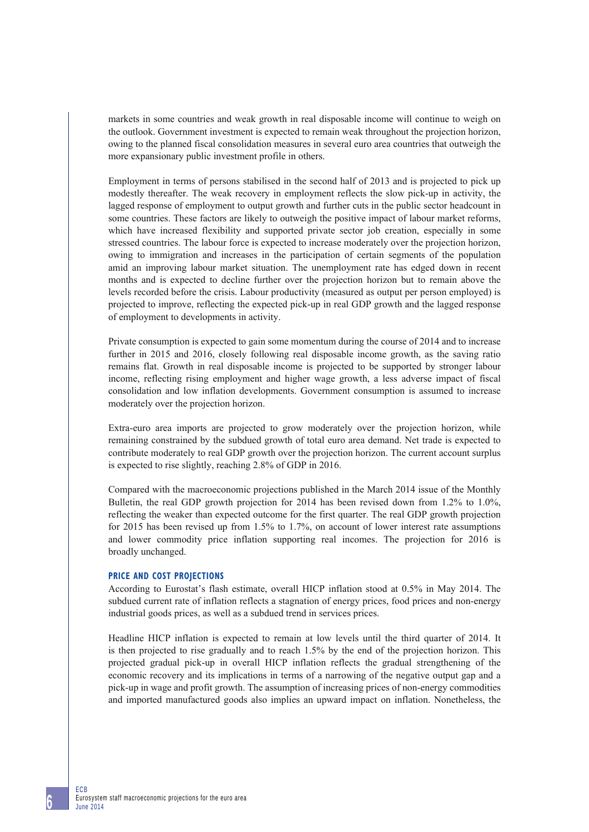markets in some countries and weak growth in real disposable income will continue to weigh on the outlook. Government investment is expected to remain weak throughout the projection horizon, owing to the planned fiscal consolidation measures in several euro area countries that outweigh the more expansionary public investment profile in others.

Employment in terms of persons stabilised in the second half of 2013 and is projected to pick up modestly thereafter. The weak recovery in employment reflects the slow pick-up in activity, the lagged response of employment to output growth and further cuts in the public sector headcount in some countries. These factors are likely to outweigh the positive impact of labour market reforms, which have increased flexibility and supported private sector job creation, especially in some stressed countries. The labour force is expected to increase moderately over the projection horizon, owing to immigration and increases in the participation of certain segments of the population amid an improving labour market situation. The unemployment rate has edged down in recent months and is expected to decline further over the projection horizon but to remain above the levels recorded before the crisis. Labour productivity (measured as output per person employed) is projected to improve, reflecting the expected pick-up in real GDP growth and the lagged response of employment to developments in activity.

Private consumption is expected to gain some momentum during the course of 2014 and to increase further in 2015 and 2016, closely following real disposable income growth, as the saving ratio remains flat. Growth in real disposable income is projected to be supported by stronger labour income, reflecting rising employment and higher wage growth, a less adverse impact of fiscal consolidation and low inflation developments. Government consumption is assumed to increase moderately over the projection horizon.

Extra-euro area imports are projected to grow moderately over the projection horizon, while remaining constrained by the subdued growth of total euro area demand. Net trade is expected to contribute moderately to real GDP growth over the projection horizon. The current account surplus is expected to rise slightly, reaching 2.8% of GDP in 2016.

Compared with the macroeconomic projections published in the March 2014 issue of the Monthly Bulletin, the real GDP growth projection for 2014 has been revised down from 1.2% to 1.0%, reflecting the weaker than expected outcome for the first quarter. The real GDP growth projection for 2015 has been revised up from 1.5% to 1.7%, on account of lower interest rate assumptions and lower commodity price inflation supporting real incomes. The projection for 2016 is broadly unchanged.

## **PRICE AND COST PROJECTIONS**

According to Eurostat's flash estimate, overall HICP inflation stood at 0.5% in May 2014. The subdued current rate of inflation reflects a stagnation of energy prices, food prices and non-energy industrial goods prices, as well as a subdued trend in services prices.

Headline HICP inflation is expected to remain at low levels until the third quarter of 2014. It is then projected to rise gradually and to reach 1.5% by the end of the projection horizon. This projected gradual pick-up in overall HICP inflation reflects the gradual strengthening of the economic recovery and its implications in terms of a narrowing of the negative output gap and a pick-up in wage and profit growth. The assumption of increasing prices of non-energy commodities and imported manufactured goods also implies an upward impact on inflation. Nonetheless, the

ECB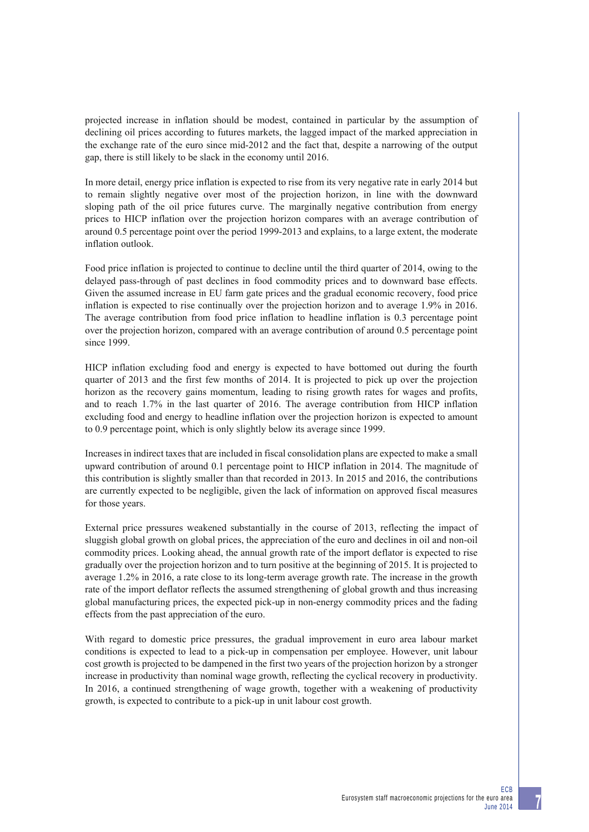projected increase in inflation should be modest, contained in particular by the assumption of declining oil prices according to futures markets, the lagged impact of the marked appreciation in the exchange rate of the euro since mid-2012 and the fact that, despite a narrowing of the output gap, there is still likely to be slack in the economy until 2016.

In more detail, energy price inflation is expected to rise from its very negative rate in early 2014 but to remain slightly negative over most of the projection horizon, in line with the downward sloping path of the oil price futures curve. The marginally negative contribution from energy prices to HICP inflation over the projection horizon compares with an average contribution of around 0.5 percentage point over the period 1999-2013 and explains, to a large extent, the moderate inflation outlook.

Food price inflation is projected to continue to decline until the third quarter of 2014, owing to the delayed pass-through of past declines in food commodity prices and to downward base effects. Given the assumed increase in EU farm gate prices and the gradual economic recovery, food price inflation is expected to rise continually over the projection horizon and to average 1.9% in 2016. The average contribution from food price inflation to headline inflation is 0.3 percentage point over the projection horizon, compared with an average contribution of around 0.5 percentage point since 1999.

HICP inflation excluding food and energy is expected to have bottomed out during the fourth quarter of 2013 and the first few months of 2014. It is projected to pick up over the projection horizon as the recovery gains momentum, leading to rising growth rates for wages and profits, and to reach 1.7% in the last quarter of 2016. The average contribution from HICP inflation excluding food and energy to headline inflation over the projection horizon is expected to amount to 0.9 percentage point, which is only slightly below its average since 1999.

Increases in indirect taxes that are included in fiscal consolidation plans are expected to make a small upward contribution of around 0.1 percentage point to HICP inflation in 2014. The magnitude of this contribution is slightly smaller than that recorded in 2013. In 2015 and 2016, the contributions are currently expected to be negligible, given the lack of information on approved fiscal measures for those years.

External price pressures weakened substantially in the course of 2013, reflecting the impact of sluggish global growth on global prices, the appreciation of the euro and declines in oil and non-oil commodity prices. Looking ahead, the annual growth rate of the import deflator is expected to rise gradually over the projection horizon and to turn positive at the beginning of 2015. It is projected to average 1.2% in 2016, a rate close to its long-term average growth rate. The increase in the growth rate of the import deflator reflects the assumed strengthening of global growth and thus increasing global manufacturing prices, the expected pick-up in non-energy commodity prices and the fading effects from the past appreciation of the euro.

With regard to domestic price pressures, the gradual improvement in euro area labour market conditions is expected to lead to a pick-up in compensation per employee. However, unit labour cost growth is projected to be dampened in the first two years of the projection horizon by a stronger increase in productivity than nominal wage growth, reflecting the cyclical recovery in productivity. In 2016, a continued strengthening of wage growth, together with a weakening of productivity growth, is expected to contribute to a pick-up in unit labour cost growth.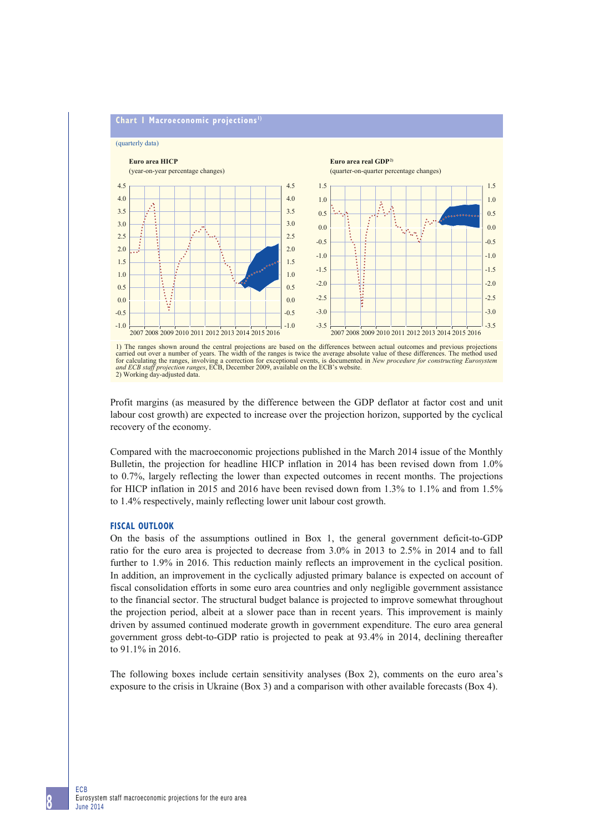## **Chart 1 Macroeconomic projections 1)**

(quarterly data)



1) The ranges shown around the central projections are based on the differences between actual outcomes and previous projections carried out over a number of years. The width of the ranges is twice the average absolute value of these differences. The method used<br>for calculating the ranges, involving a correction for exceptional events, is documented *and ECB staff projection ranges*, ECB, December 2009, available on the ECB's website. 2) Working day-adjusted data.

Profit margins (as measured by the difference between the GDP deflator at factor cost and unit labour cost growth) are expected to increase over the projection horizon, supported by the cyclical recovery of the economy.

Compared with the macroeconomic projections published in the March 2014 issue of the Monthly Bulletin, the projection for headline HICP inflation in 2014 has been revised down from 1.0% to 0.7%, largely reflecting the lower than expected outcomes in recent months. The projections for HICP inflation in 2015 and 2016 have been revised down from 1.3% to 1.1% and from 1.5% to 1.4% respectively, mainly reflecting lower unit labour cost growth.

## **FISCAL OUTLOOK**

On the basis of the assumptions outlined in Box 1, the general government deficit-to-GDP ratio for the euro area is projected to decrease from 3.0% in 2013 to 2.5% in 2014 and to fall further to 1.9% in 2016. This reduction mainly reflects an improvement in the cyclical position. In addition, an improvement in the cyclically adjusted primary balance is expected on account of fiscal consolidation efforts in some euro area countries and only negligible government assistance to the financial sector. The structural budget balance is projected to improve somewhat throughout the projection period, albeit at a slower pace than in recent years. This improvement is mainly driven by assumed continued moderate growth in government expenditure. The euro area general government gross debt-to-GDP ratio is projected to peak at 93.4% in 2014, declining thereafter to 91.1% in 2016.

The following boxes include certain sensitivity analyses (Box 2), comments on the euro area's exposure to the crisis in Ukraine (Box 3) and a comparison with other available forecasts (Box 4).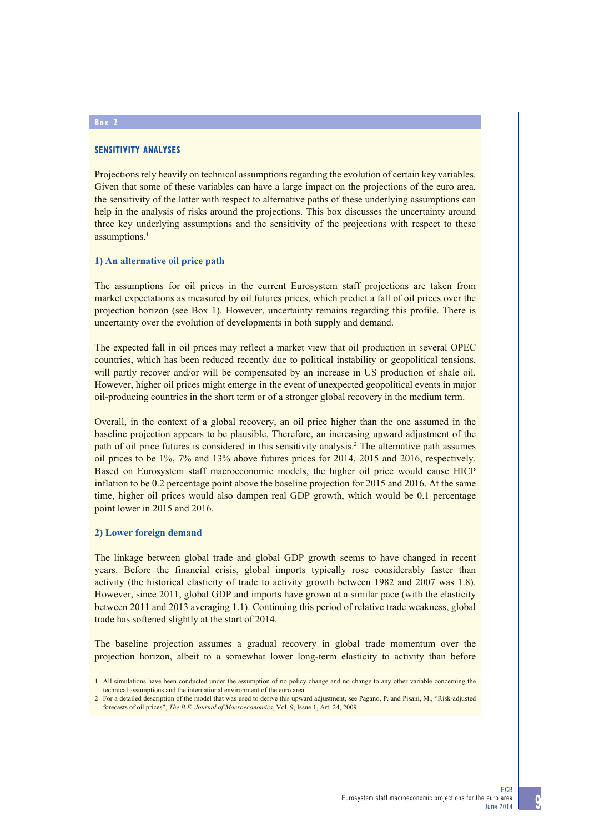## **SENSITIVITY ANALYSES**

Projections rely heavily on technical assumptions regarding the evolution of certain key variables. Given that some of these variables can have a large impact on the projections of the euro area, the sensitivity of the latter with respect to alternative paths of these underlying assumptions can help in the analysis of risks around the projections. This box discusses the uncertainty around three key underlying assumptions and the sensitivity of the projections with respect to these assumptions.<sup>1</sup>

## **1) An alternative oil price path**

The assumptions for oil prices in the current Eurosystem staff projections are taken from market expectations as measured by oil futures prices, which predict a fall of oil prices over the projection horizon (see Box 1). However, uncertainty remains regarding this profile. There is uncertainty over the evolution of developments in both supply and demand.

The expected fall in oil prices may reflect a market view that oil production in several OPEC countries, which has been reduced recently due to political instability or geopolitical tensions, will partly recover and/or will be compensated by an increase in US production of shale oil. However, higher oil prices might emerge in the event of unexpected geopolitical events in major oil-producing countries in the short term or of a stronger global recovery in the medium term.

Overall, in the context of a global recovery, an oil price higher than the one assumed in the baseline projection appears to be plausible. Therefore, an increasing upward adjustment of the path of oil price futures is considered in this sensitivity analysis.<sup>2</sup> The alternative path assumes oil prices to be 1%, 7% and 13% above futures prices for 2014, 2015 and 2016, respectively. Based on Eurosystem staff macroeconomic models, the higher oil price would cause HICP inflation to be 0.2 percentage point above the baseline projection for 2015 and 2016. At the same time, higher oil prices would also dampen real GDP growth, which would be 0.1 percentage point lower in 2015 and 2016.

#### **2) Lower foreign demand**

The linkage between global trade and global GDP growth seems to have changed in recent years. Before the financial crisis, global imports typically rose considerably faster than activity (the historical elasticity of trade to activity growth between 1982 and 2007 was 1.8). However, since 2011, global GDP and imports have grown at a similar pace (with the elasticity between 2011 and 2013 averaging 1.1). Continuing this period of relative trade weakness, global trade has softened slightly at the start of 2014.

The baseline projection assumes a gradual recovery in global trade momentum over the projection horizon, albeit to a somewhat lower long-term elasticity to activity than before

## **Box 2**

<sup>1</sup> All simulations have been conducted under the assumption of no policy change and no change to any other variable concerning the technical assumptions and the international environment of the euro area.

<sup>2</sup> For a detailed description of the model that was used to derive this upward adjustment, see Pagano, P. and Pisani, M., "Risk-adjusted forecasts of oil prices", *The B.E. Journal of Macroeconomics*, Vol. 9, Issue 1, Art. 24, 2009.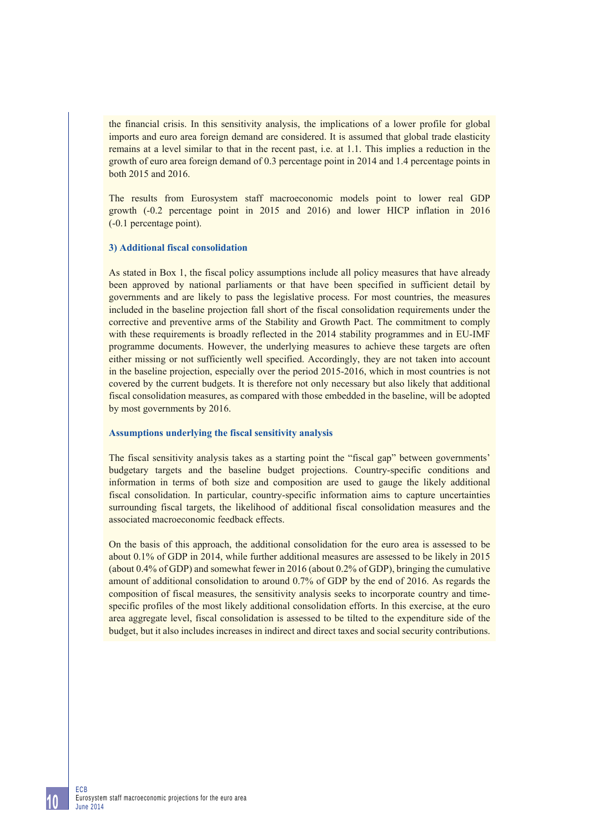the financial crisis. In this sensitivity analysis, the implications of a lower profile for global imports and euro area foreign demand are considered. It is assumed that global trade elasticity remains at a level similar to that in the recent past, i.e. at 1.1. This implies a reduction in the growth of euro area foreign demand of 0.3 percentage point in 2014 and 1.4 percentage points in both 2015 and 2016.

The results from Eurosystem staff macroeconomic models point to lower real GDP growth (-0.2 percentage point in 2015 and 2016) and lower HICP inflation in 2016 (-0.1 percentage point).

## **3) Additional fiscal consolidation**

As stated in Box 1, the fiscal policy assumptions include all policy measures that have already been approved by national parliaments or that have been specified in sufficient detail by governments and are likely to pass the legislative process. For most countries, the measures included in the baseline projection fall short of the fiscal consolidation requirements under the corrective and preventive arms of the Stability and Growth Pact. The commitment to comply with these requirements is broadly reflected in the 2014 stability programmes and in EU-IMF programme documents. However, the underlying measures to achieve these targets are often either missing or not sufficiently well specified. Accordingly, they are not taken into account in the baseline projection, especially over the period 2015-2016, which in most countries is not covered by the current budgets. It is therefore not only necessary but also likely that additional fiscal consolidation measures, as compared with those embedded in the baseline, will be adopted by most governments by 2016.

#### **Assumptions underlying the fiscal sensitivity analysis**

The fiscal sensitivity analysis takes as a starting point the "fiscal gap" between governments' budgetary targets and the baseline budget projections. Country-specific conditions and information in terms of both size and composition are used to gauge the likely additional fiscal consolidation. In particular, country-specific information aims to capture uncertainties surrounding fiscal targets, the likelihood of additional fiscal consolidation measures and the associated macroeconomic feedback effects.

On the basis of this approach, the additional consolidation for the euro area is assessed to be about 0.1% of GDP in 2014, while further additional measures are assessed to be likely in 2015 (about 0.4% of GDP) and somewhat fewer in 2016 (about 0.2% of GDP), bringing the cumulative amount of additional consolidation to around 0.7% of GDP by the end of 2016. As regards the composition of fiscal measures, the sensitivity analysis seeks to incorporate country and timespecific profiles of the most likely additional consolidation efforts. In this exercise, at the euro area aggregate level, fiscal consolidation is assessed to be tilted to the expenditure side of the budget, but it also includes increases in indirect and direct taxes and social security contributions.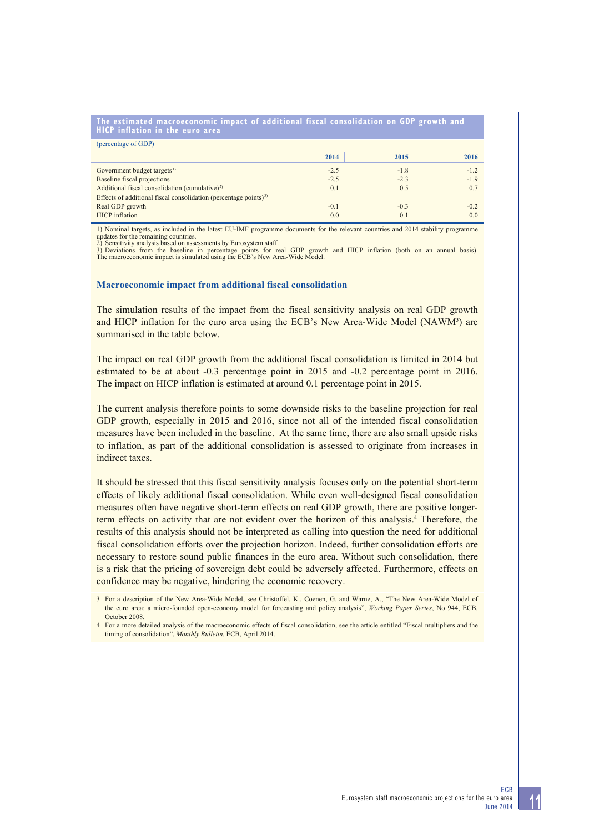| The estimated macroeconomic impact of additional fiscal consolidation on GDP growth and<br><b>HICP</b> inflation in the euro area |        |        |        |
|-----------------------------------------------------------------------------------------------------------------------------------|--------|--------|--------|
| (percentage of GDP)                                                                                                               |        |        |        |
|                                                                                                                                   | 2014   | 2015   | 2016   |
| Government budget targets <sup>1)</sup>                                                                                           | $-2.5$ | $-1.8$ | $-1.2$ |
| Baseline fiscal projections                                                                                                       | $-2.5$ | $-2.3$ | $-1.9$ |
| Additional fiscal consolidation (cumulative) <sup>2)</sup>                                                                        | 0.1    | 0.5    | 0.7    |
| Effects of additional fiscal consolidation (percentage points) <sup>3)</sup>                                                      |        |        |        |
| Real GDP growth                                                                                                                   | $-0.1$ | $-0.3$ | $-0.2$ |
| <b>HICP</b> inflation                                                                                                             | 0.0    | 0.1    | 0.0    |

1) Nominal targets, as included in the latest EU-IMF programme documents for the relevant countries and 2014 stability programme updates for the remaining countries. 2) Sensitivity analysis based on assessments by Eurosystem staff.

3) Deviations from the baseline in percentage points for real GDP growth and HICP inflation (both on an annual basis). The macroeconomic impact is simulated using the ECB's New Area-Wide Model.

## **Macroeconomic impact from additional fiscal consolidation**

The simulation results of the impact from the fiscal sensitivity analysis on real GDP growth and HICP inflation for the euro area using the ECB's New Area-Wide Model (NAWM<sup>3</sup>) are summarised in the table below.

The impact on real GDP growth from the additional fiscal consolidation is limited in 2014 but estimated to be at about -0.3 percentage point in 2015 and -0.2 percentage point in 2016. The impact on HICP inflation is estimated at around 0.1 percentage point in 2015.

The current analysis therefore points to some downside risks to the baseline projection for real GDP growth, especially in 2015 and 2016, since not all of the intended fiscal consolidation measures have been included in the baseline. At the same time, there are also small upside risks to inflation, as part of the additional consolidation is assessed to originate from increases in indirect taxes.

It should be stressed that this fiscal sensitivity analysis focuses only on the potential short-term effects of likely additional fiscal consolidation. While even well-designed fiscal consolidation measures often have negative short-term effects on real GDP growth, there are positive longerterm effects on activity that are not evident over the horizon of this analysis.4 Therefore, the results of this analysis should not be interpreted as calling into question the need for additional fiscal consolidation efforts over the projection horizon. Indeed, further consolidation efforts are necessary to restore sound public finances in the euro area. Without such consolidation, there is a risk that the pricing of sovereign debt could be adversely affected. Furthermore, effects on confidence may be negative, hindering the economic recovery.

<sup>3</sup> For a description of the New Area-Wide Model, see Christoffel, K., Coenen, G. and Warne, A., "The New Area-Wide Model of the euro area: a micro-founded open-economy model for forecasting and policy analysis", *Working Paper Series*, No 944, ECB, October 2008.

<sup>4</sup> For a more detailed analysis of the macroeconomic effects of fiscal consolidation, see the article entitled "Fiscal multipliers and the timing of consolidation", *Monthly Bulletin*, ECB, April 2014.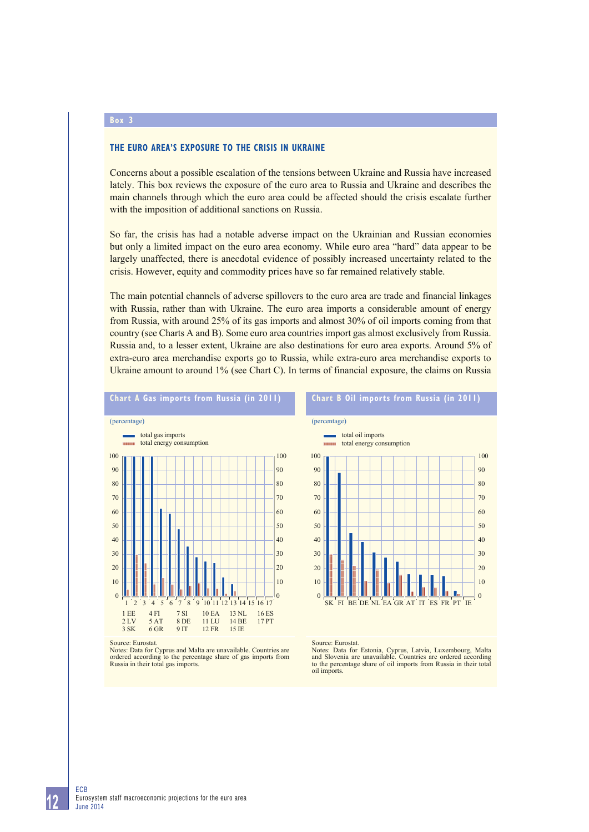#### **Box 3**

## **THE EURO AREA'S EXPOSURE TO THE CRISIS IN UKRAINE**

Concerns about a possible escalation of the tensions between Ukraine and Russia have increased lately. This box reviews the exposure of the euro area to Russia and Ukraine and describes the main channels through which the euro area could be affected should the crisis escalate further with the imposition of additional sanctions on Russia.

So far, the crisis has had a notable adverse impact on the Ukrainian and Russian economies but only a limited impact on the euro area economy. While euro area "hard" data appear to be largely unaffected, there is anecdotal evidence of possibly increased uncertainty related to the crisis. However, equity and commodity prices have so far remained relatively stable.

The main potential channels of adverse spillovers to the euro area are trade and financial linkages with Russia, rather than with Ukraine. The euro area imports a considerable amount of energy from Russia, with around 25% of its gas imports and almost 30% of oil imports coming from that country (see Charts A and B). Some euro area countries import gas almost exclusively from Russia. Russia and, to a lesser extent, Ukraine are also destinations for euro area exports. Around 5% of extra-euro area merchandise exports go to Russia, while extra-euro area merchandise exports to Ukraine amount to around 1% (see Chart C). In terms of financial exposure, the claims on Russia





Source: Eurostat.

Notes: Data for Cyprus and Malta are unavailable. Countries are ordered according to the percentage share of gas imports from Russia in their total gas imports.

#### Source: Eurostat.

Notes: Data for Estonia, Cyprus, Latvia, Luxembourg, Malta and Slovenia are unavailable. Countries are ordered according to the percentage share of oil imports from Russia in their total oil imports.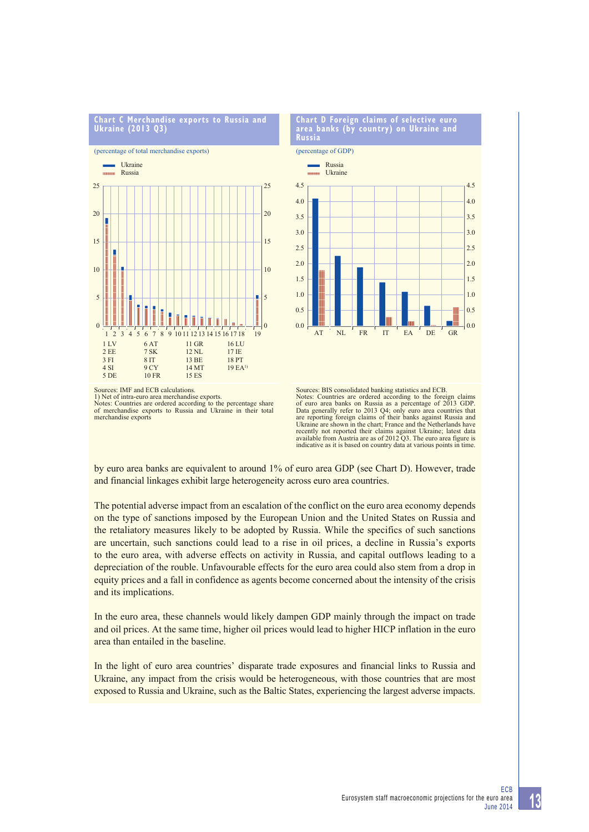

merchandise exports

**Chart D Foreign claims of selective euro area banks (by country) on Ukraine and** 

(percentage of GDP)

**Russia**



Sources: BIS consolidated banking statistics and ECB. Notes: Countries are ordered according to the foreign claims of euro area banks on Russia as a percentage of 2013 GDP. Data generally refer to 2013 Q4; only euro area countries that are reporting foreign claims of their banks against Russia and Ukraine are shown in the chart; France and the Netherlands have recently not reported their claims against Ukraine; latest data available from Austria are as of 2012 Q3. The euro area figure is indicative as it is based on country data at various points in time.

by euro area banks are equivalent to around 1% of euro area GDP (see Chart D). However, trade and financial linkages exhibit large heterogeneity across euro area countries.

The potential adverse impact from an escalation of the conflict on the euro area economy depends on the type of sanctions imposed by the European Union and the United States on Russia and the retaliatory measures likely to be adopted by Russia. While the specifics of such sanctions are uncertain, such sanctions could lead to a rise in oil prices, a decline in Russia's exports to the euro area, with adverse effects on activity in Russia, and capital outflows leading to a depreciation of the rouble. Unfavourable effects for the euro area could also stem from a drop in equity prices and a fall in confidence as agents become concerned about the intensity of the crisis and its implications.

In the euro area, these channels would likely dampen GDP mainly through the impact on trade and oil prices. At the same time, higher oil prices would lead to higher HICP inflation in the euro area than entailed in the baseline.

In the light of euro area countries' disparate trade exposures and financial links to Russia and Ukraine, any impact from the crisis would be heterogeneous, with those countries that are most exposed to Russia and Ukraine, such as the Baltic States, experiencing the largest adverse impacts.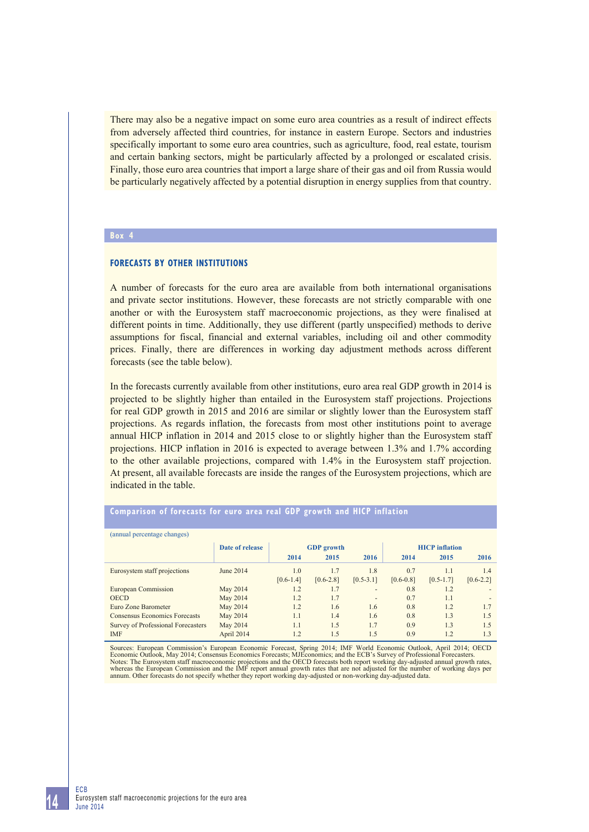There may also be a negative impact on some euro area countries as a result of indirect effects from adversely affected third countries, for instance in eastern Europe. Sectors and industries specifically important to some euro area countries, such as agriculture, food, real estate, tourism and certain banking sectors, might be particularly affected by a prolonged or escalated crisis. Finally, those euro area countries that import a large share of their gas and oil from Russia would be particularly negatively affected by a potential disruption in energy supplies from that country.

## **Box 4**

#### **FORECASTS BY OTHER INSTITUTIONS**

A number of forecasts for the euro area are available from both international organisations and private sector institutions. However, these forecasts are not strictly comparable with one another or with the Eurosystem staff macroeconomic projections, as they were finalised at different points in time. Additionally, they use different (partly unspecified) methods to derive assumptions for fiscal, financial and external variables, including oil and other commodity prices. Finally, there are differences in working day adjustment methods across different forecasts (see the table below).

In the forecasts currently available from other institutions, euro area real GDP growth in 2014 is projected to be slightly higher than entailed in the Eurosystem staff projections. Projections for real GDP growth in 2015 and 2016 are similar or slightly lower than the Eurosystem staff projections. As regards inflation, the forecasts from most other institutions point to average annual HICP inflation in 2014 and 2015 close to or slightly higher than the Eurosystem staff projections. HICP inflation in 2016 is expected to average between 1.3% and 1.7% according to the other available projections, compared with 1.4% in the Eurosystem staff projection. At present, all available forecasts are inside the ranges of the Eurosystem projections, which are indicated in the table.

| (annual percentage changes)          |                 |               |                   |               |                       |               |               |  |
|--------------------------------------|-----------------|---------------|-------------------|---------------|-----------------------|---------------|---------------|--|
|                                      | Date of release |               | <b>GDP</b> growth |               | <b>HICP</b> inflation |               |               |  |
|                                      |                 | 2014          | 2015              | 2016          | 2014                  | 2015          | 2016          |  |
| Eurosystem staff projections         | June 2014       | 1.0           | 1.7               | 1.8           | 0.7                   | 1.1           | 1.4           |  |
|                                      |                 | $[0.6 - 1.4]$ | $[0.6 - 2.8]$     | $[0.5 - 3.1]$ | $[0.6 - 0.8]$         | $[0.5 - 1.7]$ | $[0.6 - 2.2]$ |  |
| <b>European Commission</b>           | May 2014        | 1.2           | 1.7               | -             | 0.8                   | 1.2           |               |  |
| <b>OECD</b>                          | May 2014        | 1.2           | 1.7               | -             | 0.7                   | 1.1           |               |  |
| Euro Zone Barometer                  | May 2014        | 1.2           | 1.6               | 1.6           | 0.8                   | 1.2           | 1.7           |  |
| <b>Consensus Economics Forecasts</b> | May 2014        | 1.1           | 1.4               | 1.6           | 0.8                   | 1.3           | 1.5           |  |
| Survey of Professional Forecasters   | May 2014        | 1.1           | 1.5               | 1.7           | 0.9                   | 1.3           | 1.5           |  |
| <b>IMF</b>                           | April 2014      | 1.2           | 1.5               | 1.5           | 0.9                   | 1.2           | 1.3           |  |

#### **Comparison of forecasts for euro area real GDP growth and HICP inflation**

Sources: European Commission's European Economic Forecast, Spring 2014; IMF World Economic Outlook, April 2014; OECD<br>Economic Outlook, May 2014; Consensus Economics Forecasts; MJEconomics; and the ECB's Survey of Professio Notes: The European Commission and the IMF report annual growth rates, whereas the European Commission and the IMF report annual growth rates, whereas the European Commission and the IMF report annual growth rates that are annum. Other forecasts do not specify whether they report working day-adjusted or non-working day-adjusted data.

**14**